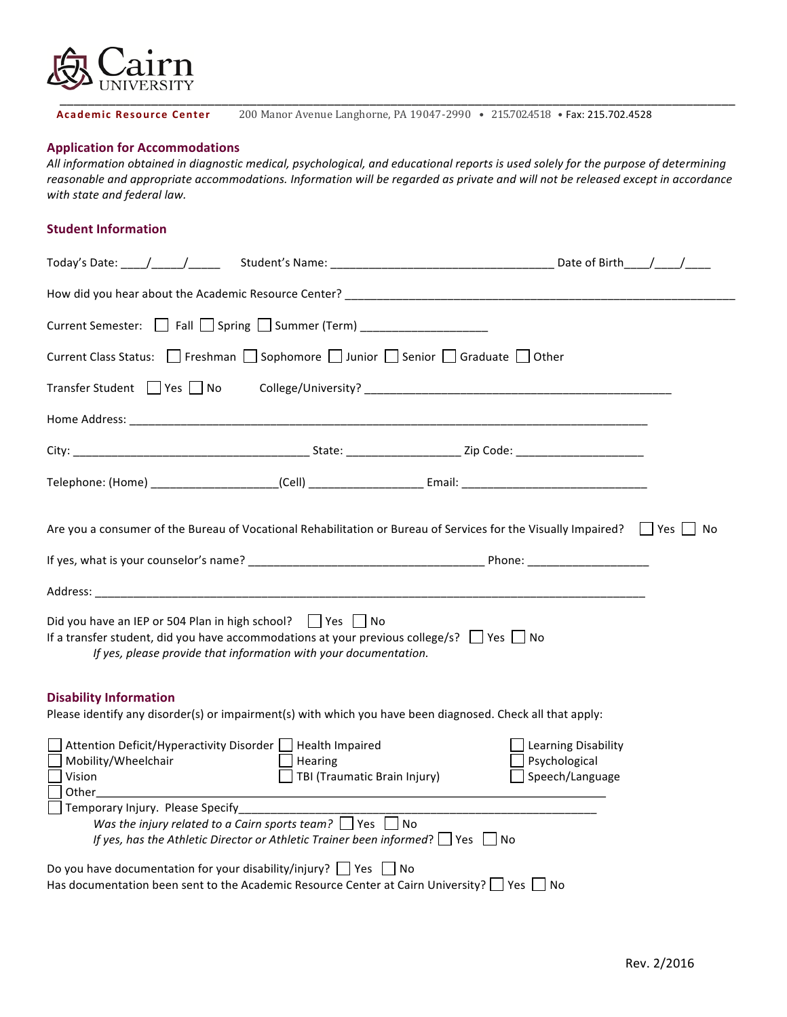

Academic Resource Center 200 Manor Avenue Langhorne, PA 19047-2990 • 215.702.4518 • Fax: 215.702.4528

## **Application for Accommodations**

All information obtained in diagnostic medical, psychological, and educational reports is used solely for the purpose of determining reasonable and appropriate accommodations. Information will be regarded as private and will not be released except in accordance *with state and federal law.*

## **Student Information**

| Current Semester: $\Box$ Fall $\Box$ Spring $\Box$ Summer (Term) _____________________                                                                                                                                                                                                                                                                                                                                             |                                                      |                                                         |      |  |
|------------------------------------------------------------------------------------------------------------------------------------------------------------------------------------------------------------------------------------------------------------------------------------------------------------------------------------------------------------------------------------------------------------------------------------|------------------------------------------------------|---------------------------------------------------------|------|--|
| Current Class Status: □ Freshman □ Sophomore □ Junior □ Senior □ Graduate □ Other                                                                                                                                                                                                                                                                                                                                                  |                                                      |                                                         |      |  |
| Transfer Student Yes No College/University?<br>No College/University?                                                                                                                                                                                                                                                                                                                                                              |                                                      |                                                         |      |  |
|                                                                                                                                                                                                                                                                                                                                                                                                                                    |                                                      |                                                         |      |  |
|                                                                                                                                                                                                                                                                                                                                                                                                                                    |                                                      |                                                         |      |  |
|                                                                                                                                                                                                                                                                                                                                                                                                                                    |                                                      |                                                         |      |  |
| Are you a consumer of the Bureau of Vocational Rehabilitation or Bureau of Services for the Visually Impaired?                                                                                                                                                                                                                                                                                                                     |                                                      |                                                         | ∣ No |  |
|                                                                                                                                                                                                                                                                                                                                                                                                                                    |                                                      |                                                         |      |  |
| Address: the contract of the contract of the contract of the contract of the contract of the contract of the contract of the contract of the contract of the contract of the contract of the contract of the contract of the c                                                                                                                                                                                                     |                                                      |                                                         |      |  |
| Did you have an IEP or 504 Plan in high school?     Yes     No<br>If a transfer student, did you have accommodations at your previous college/s? $\Box$ Yes $\Box$ No<br>If yes, please provide that information with your documentation.                                                                                                                                                                                          |                                                      |                                                         |      |  |
| <b>Disability Information</b><br>Please identify any disorder(s) or impairment(s) with which you have been diagnosed. Check all that apply:                                                                                                                                                                                                                                                                                        |                                                      |                                                         |      |  |
| Attention Deficit/Hyperactivity Disorder   Health Impaired<br>Mobility/Wheelchair<br>Vision<br><b>Other contract to the contract of the contract of the contract of the contract of the contract of the contract of the contract of the contract of the contract of the contract of the contract of the contract of the contr</b><br>Temporary Injury. Please Specify<br>Was the injury related to a Cairn sports team? $\Box$ Yes | Hearing<br>TBI (Traumatic Brain Injury)<br><b>No</b> | Learning Disability<br>Psychological<br>Speech/Language |      |  |
| If yes, has the Athletic Director or Athletic Trainer been informed? $\Box$ Yes $\Box$ No<br>Do you have documentation for your disability/injury? $\Box$ Yes $\Box$ No<br>Has documentation been sent to the Academic Resource Center at Cairn University? $\Box$ Yes $\Box$ No                                                                                                                                                   |                                                      |                                                         |      |  |